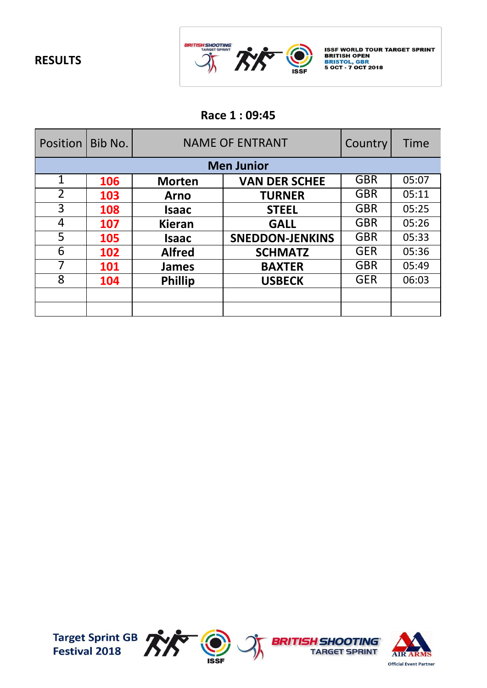

ISSF WORLD TOUR TARGET SPRINT<br>BRITISH OPEN<br>BRISTOL, GBR<br>5 OCT - 7 OCT 2018

# **Race 1 : 09:45**

| Position       | Bib No. | <b>NAME OF ENTRANT</b> |                        | Country    | <b>Time</b> |
|----------------|---------|------------------------|------------------------|------------|-------------|
|                |         |                        | <b>Men Junior</b>      |            |             |
| $\mathbf 1$    | 106     | <b>Morten</b>          | <b>VAN DER SCHEE</b>   | <b>GBR</b> | 05:07       |
| $\overline{2}$ | 103     | <b>Arno</b>            | <b>TURNER</b>          | <b>GBR</b> | 05:11       |
| 3              | 108     | <b>Isaac</b>           | <b>STEEL</b>           | <b>GBR</b> | 05:25       |
| 4              | 107     | <b>Kieran</b>          | <b>GALL</b>            | <b>GBR</b> | 05:26       |
| 5              | 105     | <b>Isaac</b>           | <b>SNEDDON-JENKINS</b> | <b>GBR</b> | 05:33       |
| 6              | 102     | <b>Alfred</b>          | <b>SCHMATZ</b>         | <b>GER</b> | 05:36       |
|                | 101     | <b>James</b>           | <b>BAXTER</b>          | <b>GBR</b> | 05:49       |
| 8              | 104     | <b>Phillip</b>         | <b>USBECK</b>          | <b>GER</b> | 06:03       |
|                |         |                        |                        |            |             |
|                |         |                        |                        |            |             |

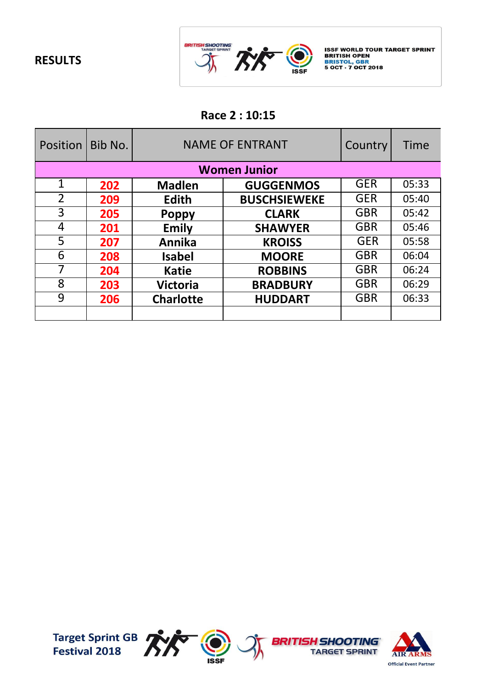

ISSF WORLD TOUR TARGET SPRINT<br>BRITISH OPEN<br>BRISTOL, GBR<br>5 OCT - 7 OCT 2018

### **Race 2 : 10:15**

| Position       | Bib No. | <b>NAME OF ENTRANT</b> |                     | Country    | Time  |
|----------------|---------|------------------------|---------------------|------------|-------|
|                |         |                        | <b>Women Junior</b> |            |       |
| $\mathbf{1}$   | 202     | <b>Madlen</b>          | <b>GUGGENMOS</b>    | <b>GER</b> | 05:33 |
| $\overline{2}$ | 209     | <b>Edith</b>           | <b>BUSCHSIEWEKE</b> | <b>GER</b> | 05:40 |
| 3              | 205     | <b>Poppy</b>           | <b>CLARK</b>        | <b>GBR</b> | 05:42 |
| 4              | 201     | <b>Emily</b>           | <b>SHAWYER</b>      | <b>GBR</b> | 05:46 |
| 5              | 207     | Annika                 | <b>KROISS</b>       | <b>GER</b> | 05:58 |
| 6              | 208     | <b>Isabel</b>          | <b>MOORE</b>        | <b>GBR</b> | 06:04 |
|                | 204     | <b>Katie</b>           | <b>ROBBINS</b>      | <b>GBR</b> | 06:24 |
| 8              | 203     | <b>Victoria</b>        | <b>BRADBURY</b>     | <b>GBR</b> | 06:29 |
| 9              | 206     | <b>Charlotte</b>       | <b>HUDDART</b>      | <b>GBR</b> | 06:33 |
|                |         |                        |                     |            |       |

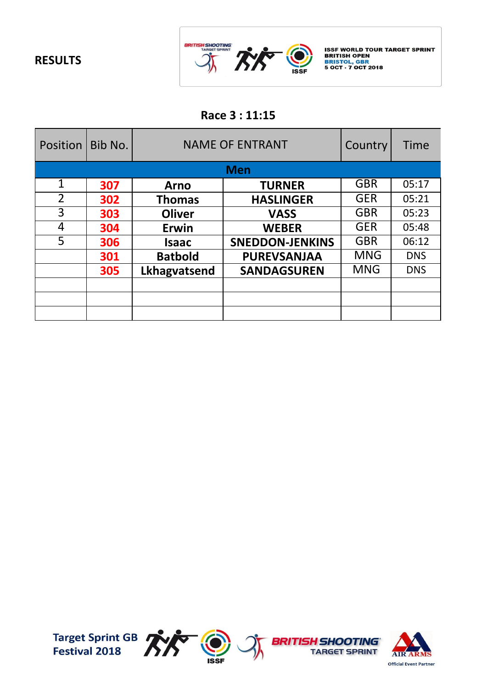

ISSF WORLD TOUR TARGET SPRINT<br>BRITISH OPEN<br>BRISTOL, GBR<br>5 OCT - 7 OCT 2018

### **Race 3 : 11:15**

| Position       | Bib No. | <b>NAME OF ENTRANT</b> |                        | Country    | Time       |
|----------------|---------|------------------------|------------------------|------------|------------|
|                |         |                        | <b>Men</b>             |            |            |
| $\mathbf{1}$   | 307     | <b>Arno</b>            | <b>TURNER</b>          | <b>GBR</b> | 05:17      |
| $\overline{2}$ | 302     | <b>Thomas</b>          | <b>HASLINGER</b>       | <b>GER</b> | 05:21      |
| 3              | 303     | <b>Oliver</b>          | <b>VASS</b>            | <b>GBR</b> | 05:23      |
| 4              | 304     | Erwin                  | <b>WEBER</b>           | <b>GER</b> | 05:48      |
| 5              | 306     | <b>Isaac</b>           | <b>SNEDDON-JENKINS</b> | <b>GBR</b> | 06:12      |
|                | 301     | <b>Batbold</b>         | <b>PUREVSANJAA</b>     | <b>MNG</b> | <b>DNS</b> |
|                | 305     | Lkhagvatsend           | <b>SANDAGSUREN</b>     | <b>MNG</b> | <b>DNS</b> |
|                |         |                        |                        |            |            |
|                |         |                        |                        |            |            |
|                |         |                        |                        |            |            |

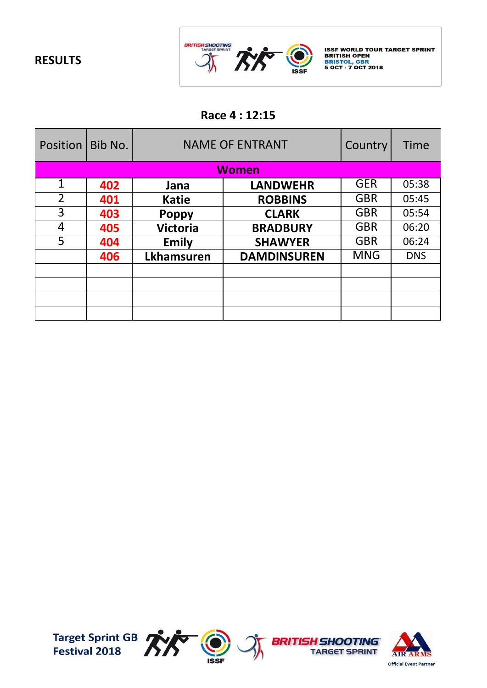

ISSF WORLD TOUR TARGET SPRINT<br>BRITISH OPEN<br>BRISTOL, GBR<br>5 OCT - 7 OCT 2018

### **Race 4 : 12:15**

| Position       | Bib No. | <b>NAME OF ENTRANT</b> |                    | Country    | <b>Time</b> |
|----------------|---------|------------------------|--------------------|------------|-------------|
|                |         |                        | <b>Women</b>       |            |             |
| $\mathbf{1}$   | 402     | Jana                   | <b>LANDWEHR</b>    | <b>GER</b> | 05:38       |
| $\overline{2}$ | 401     | <b>Katie</b>           | <b>ROBBINS</b>     | <b>GBR</b> | 05:45       |
| 3              | 403     | <b>Poppy</b>           | <b>CLARK</b>       | <b>GBR</b> | 05:54       |
| 4              | 405     | <b>Victoria</b>        | <b>BRADBURY</b>    | <b>GBR</b> | 06:20       |
| 5              | 404     | <b>Emily</b>           | <b>SHAWYER</b>     | <b>GBR</b> | 06:24       |
|                | 406     | <b>Lkhamsuren</b>      | <b>DAMDINSUREN</b> | <b>MNG</b> | <b>DNS</b>  |
|                |         |                        |                    |            |             |
|                |         |                        |                    |            |             |
|                |         |                        |                    |            |             |
|                |         |                        |                    |            |             |

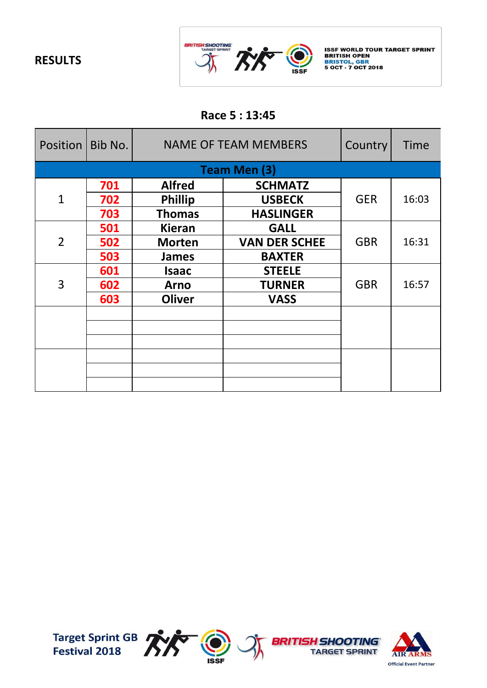

ISSF WORLD TOUR TARGET SPRINT<br>BRITISH OPEN<br>BRISTOL, GBR<br>5 OCT - 7 OCT 2018

### **Race 5 : 13:45**

| Position   Bib No. |     | <b>NAME OF TEAM MEMBERS</b> |                      | Country    | Time  |
|--------------------|-----|-----------------------------|----------------------|------------|-------|
|                    |     |                             | <b>Team Men (3)</b>  |            |       |
|                    | 701 | <b>Alfred</b>               | <b>SCHMATZ</b>       |            |       |
| $\mathbf 1$        | 702 | <b>Phillip</b>              | <b>USBECK</b>        | <b>GER</b> | 16:03 |
|                    | 703 | <b>Thomas</b>               | <b>HASLINGER</b>     |            |       |
|                    | 501 | <b>Kieran</b>               | <b>GALL</b>          |            |       |
| $\overline{2}$     | 502 | <b>Morten</b>               | <b>VAN DER SCHEE</b> | <b>GBR</b> | 16:31 |
|                    | 503 | <b>James</b>                | <b>BAXTER</b>        |            |       |
|                    | 601 | Isaac                       | <b>STEELE</b>        | <b>GBR</b> | 16:57 |
| 3                  | 602 | <b>Arno</b>                 | <b>TURNER</b>        |            |       |
|                    | 603 | <b>Oliver</b>               | <b>VASS</b>          |            |       |
|                    |     |                             |                      |            |       |
|                    |     |                             |                      |            |       |
|                    |     |                             |                      |            |       |
|                    |     |                             |                      |            |       |
|                    |     |                             |                      |            |       |
|                    |     |                             |                      |            |       |

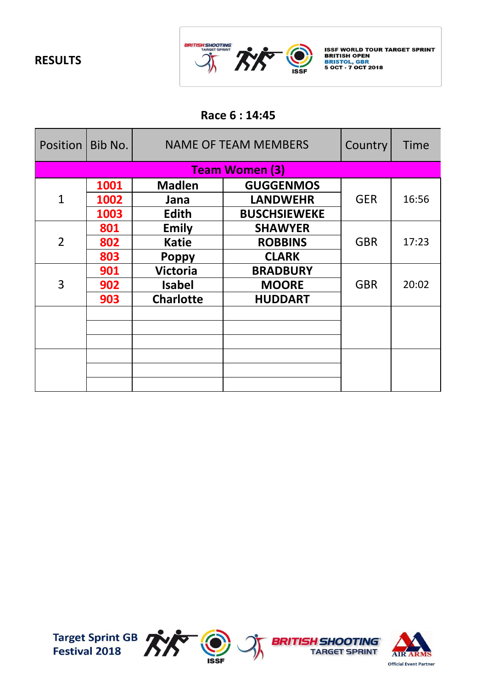

ISSF WORLD TOUR TARGET SPRINT<br>BRITISH OPEN<br>BRISTOL, GBR<br>5 OCT - 7 OCT 2018

### **Race 6 : 14:45**

| Position   Bib No. |      | <b>NAME OF TEAM MEMBERS</b> |                       | Country    | Time  |
|--------------------|------|-----------------------------|-----------------------|------------|-------|
|                    |      |                             | <b>Team Women (3)</b> |            |       |
|                    | 1001 | <b>Madlen</b>               | <b>GUGGENMOS</b>      |            |       |
| $\mathbf 1$        | 1002 | Jana                        | <b>LANDWEHR</b>       | <b>GER</b> | 16:56 |
|                    | 1003 | Edith                       | <b>BUSCHSIEWEKE</b>   |            |       |
|                    | 801  | <b>Emily</b>                | <b>SHAWYER</b>        |            | 17:23 |
| $\overline{2}$     | 802  | <b>Katie</b>                | <b>ROBBINS</b>        | <b>GBR</b> |       |
|                    | 803  | <b>Poppy</b>                | <b>CLARK</b>          |            |       |
|                    | 901  | <b>Victoria</b>             | <b>BRADBURY</b>       | <b>GBR</b> | 20:02 |
| 3                  | 902  | <b>Isabel</b>               | <b>MOORE</b>          |            |       |
|                    | 903  | <b>Charlotte</b>            | <b>HUDDART</b>        |            |       |
|                    |      |                             |                       |            |       |
|                    |      |                             |                       |            |       |
|                    |      |                             |                       |            |       |
|                    |      |                             |                       |            |       |
|                    |      |                             |                       |            |       |
|                    |      |                             |                       |            |       |